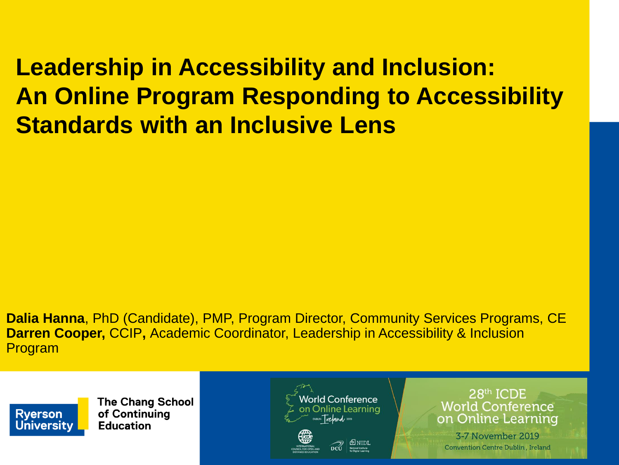### **Leadership in Accessibility and Inclusion: An Online Program Responding to Accessibility Standards with an Inclusive Lens**

**Dalia Hanna**, PhD (Candidate), PMP, Program Director, Community Services Programs, CE **Darren Cooper,** CCIP**,** Academic Coordinator, Leadership in Accessibility & Inclusion Program



**The Chang School** of Continuing **Education** 



28th ICDE **World Conference** on Online Learning

3-7 November 2019 Convention Centre Dublin, Ireland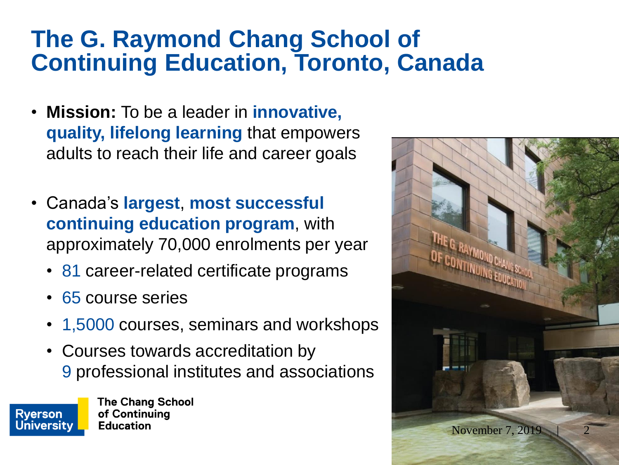### **The G. Raymond Chang School of Continuing Education, Toronto, Canada**

- **Mission:** To be a leader in **innovative, quality, lifelong learning** that empowers adults to reach their life and career goals
- Canada's **largest**, **most successful continuing education program**, with approximately 70,000 enrolments per year
	- 81 career-related certificate programs
	- 65 course series
	- 1,5000 courses, seminars and workshops
	- Courses towards accreditation by 9 professional institutes and associations



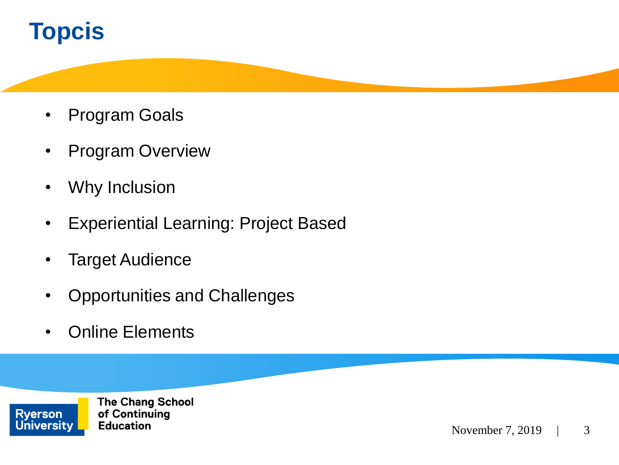### **Topcis**

- Program Goals
- Program Overview
- Why Inclusion
- Experiential Learning: Project Based
- Target Audience
- Opportunities and Challenges
- Online Elements

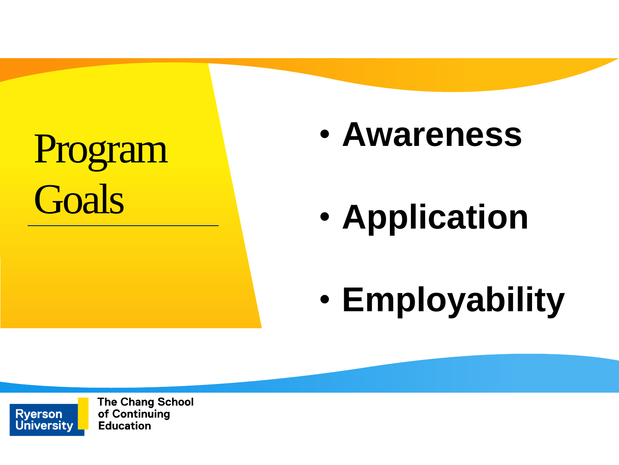# Program **Goals**

## • **Awareness**

• **Application**

• **Employability**

**The Chang School** of Continuing **Education** 

**Ryerson University**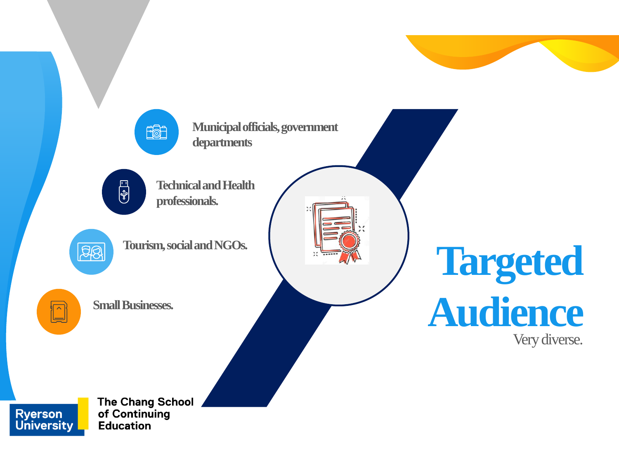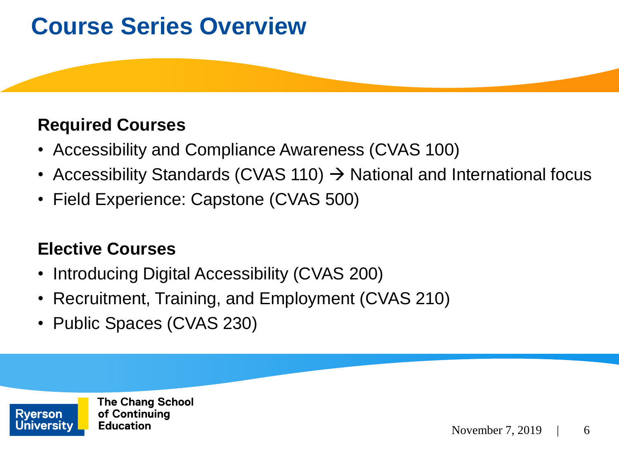### **Course Series Overview**

#### **Required Courses**

- Accessibility and Compliance Awareness (CVAS 100)
- Accessibility Standards (CVAS 110)  $\rightarrow$  National and International focus
- Field Experience: Capstone (CVAS 500)

### **Elective Courses**

- Introducing Digital Accessibility (CVAS 200)
- Recruitment, Training, and Employment (CVAS 210)
- Public Spaces (CVAS 230)

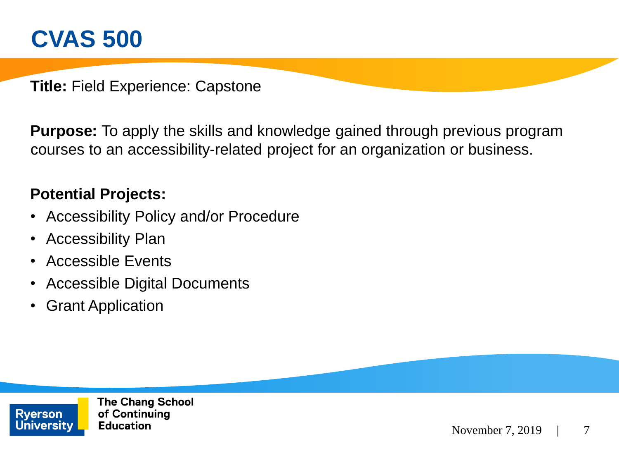### **CVAS 500**

**Title:** Field Experience: Capstone

**Purpose:** To apply the skills and knowledge gained through previous program courses to an accessibility-related project for an organization or business.

#### **Potential Projects:**

- Accessibility Policy and/or Procedure
- Accessibility Plan
- Accessible Events
- Accessible Digital Documents
- Grant Application

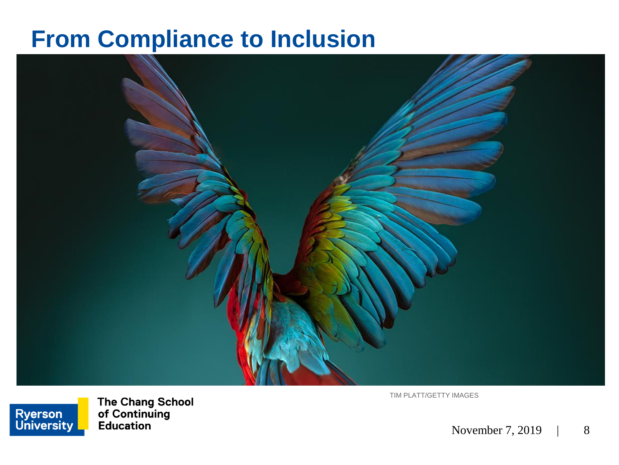### **From Compliance to Inclusion**



TIM PLATT/GETTY IMAGES

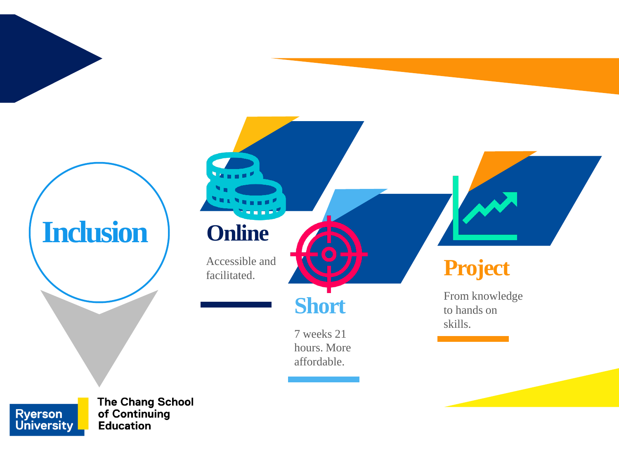

**Ryerson<br>University** of Continuing **Education**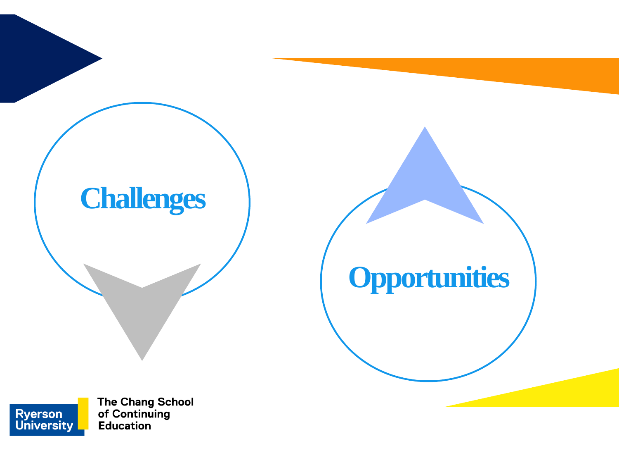

The Chang School<br>of Continuing **Education** 

**Ryerson<br>University**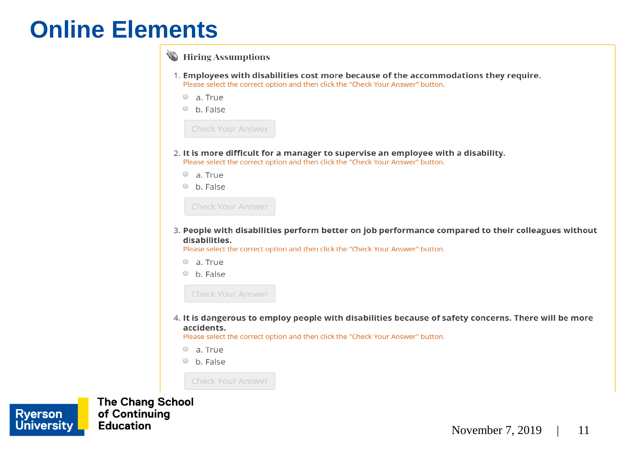### **Online Elements**

|                                                                                                                                                                                                        | U THEIR ASSUMPTIONS                                                                                                                                                     |  |
|--------------------------------------------------------------------------------------------------------------------------------------------------------------------------------------------------------|-------------------------------------------------------------------------------------------------------------------------------------------------------------------------|--|
|                                                                                                                                                                                                        | 1. Employees with disabilities cost more because of the accommodations they require.<br>Please select the correct option and then click the "Check Your Answer" button. |  |
|                                                                                                                                                                                                        | a. True<br>$\circ$                                                                                                                                                      |  |
|                                                                                                                                                                                                        | b. False<br>$\bigcirc$                                                                                                                                                  |  |
|                                                                                                                                                                                                        | Check Your Answer                                                                                                                                                       |  |
| 2. It is more difficult for a manager to supervise an employee with a disability.<br>Please select the correct option and then click the "Check Your Answer" button.                                   |                                                                                                                                                                         |  |
|                                                                                                                                                                                                        | a. True<br>$\circ$                                                                                                                                                      |  |
|                                                                                                                                                                                                        | b. False<br>$\bigcirc$                                                                                                                                                  |  |
|                                                                                                                                                                                                        | <b>Check Your Answer</b>                                                                                                                                                |  |
| 3. People with disabilities perform better on job performance compared to their colleagues without<br>disabilities.<br>Please select the correct option and then click the "Check Your Answer" button. |                                                                                                                                                                         |  |
|                                                                                                                                                                                                        | a. True<br>$\bigcirc$                                                                                                                                                   |  |
|                                                                                                                                                                                                        | b. False<br>$\circ$                                                                                                                                                     |  |
|                                                                                                                                                                                                        | <b>Check Your Answer</b>                                                                                                                                                |  |
| 4. It is dangerous to employ people with disabilities because of safety concerns. There will be more<br>accidents.<br>Please select the correct option and then click the "Check Your Answer" button.  |                                                                                                                                                                         |  |
|                                                                                                                                                                                                        | a. True                                                                                                                                                                 |  |
|                                                                                                                                                                                                        | b. False<br>$\cup$                                                                                                                                                      |  |

Check Your Answer

 $\geq$   $\frac{1}{2}$ 

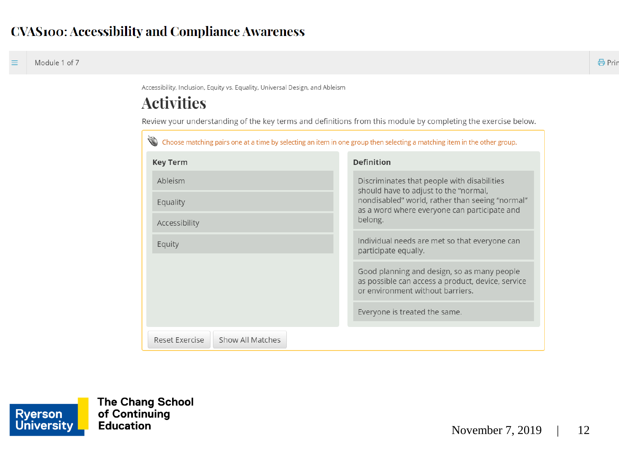Accessibility, Inclusion, Equity vs. Equality, Universal Design, and Ableism

#### **Activities**

Review your understanding of the key terms and definitions from this module by completing the exercise below.

| Choose matching pairs one at a time by selecting an item in one group then selecting a matching item in the other group. |                                                                                                                                                                                                    |  |  |
|--------------------------------------------------------------------------------------------------------------------------|----------------------------------------------------------------------------------------------------------------------------------------------------------------------------------------------------|--|--|
| <b>Key Term</b>                                                                                                          | <b>Definition</b>                                                                                                                                                                                  |  |  |
| Ableism                                                                                                                  | Discriminates that people with disabilities<br>should have to adjust to the "normal,<br>nondisabled" world, rather than seeing "normal"<br>as a word where everyone can participate and<br>belong. |  |  |
| Equality                                                                                                                 |                                                                                                                                                                                                    |  |  |
| Accessibility                                                                                                            |                                                                                                                                                                                                    |  |  |
| Equity                                                                                                                   | Individual needs are met so that everyone can<br>participate equally.                                                                                                                              |  |  |
|                                                                                                                          | Good planning and design, so as many people<br>as possible can access a product, device, service<br>or environment without barriers.                                                               |  |  |
|                                                                                                                          | Everyone is treated the same.                                                                                                                                                                      |  |  |
| Show All Matches<br>Reset Exercise                                                                                       |                                                                                                                                                                                                    |  |  |

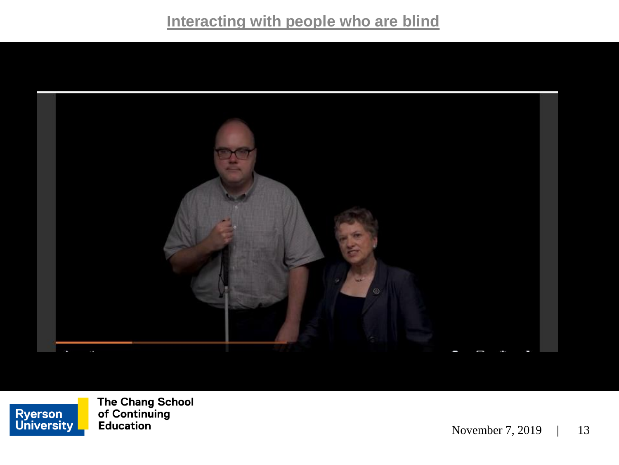